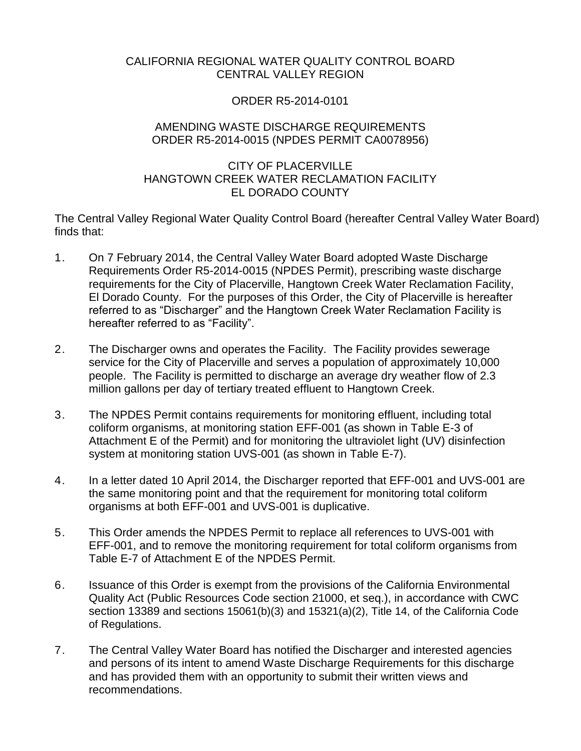### CALIFORNIA REGIONAL WATER QUALITY CONTROL BOARD CENTRAL VALLEY REGION

### ORDER R5-2014-0101

#### AMENDING WASTE DISCHARGE REQUIREMENTS ORDER R5-2014-0015 (NPDES PERMIT CA0078956)

### CITY OF PLACERVILLE HANGTOWN CREEK WATER RECLAMATION FACILITY EL DORADO COUNTY

The Central Valley Regional Water Quality Control Board (hereafter Central Valley Water Board) finds that:

- 1. On 7 February 2014, the Central Valley Water Board adopted Waste Discharge Requirements Order R5-2014-0015 (NPDES Permit), prescribing waste discharge requirements for the City of Placerville, Hangtown Creek Water Reclamation Facility, El Dorado County. For the purposes of this Order, the City of Placerville is hereafter referred to as "Discharger" and the Hangtown Creek Water Reclamation Facility is hereafter referred to as "Facility".
- 2. The Discharger owns and operates the Facility. The Facility provides sewerage service for the City of Placerville and serves a population of approximately 10,000 people. The Facility is permitted to discharge an average dry weather flow of 2.3 million gallons per day of tertiary treated effluent to Hangtown Creek.
- 3. The NPDES Permit contains requirements for monitoring effluent, including total coliform organisms, at monitoring station EFF-001 (as shown in Table E-3 of Attachment E of the Permit) and for monitoring the ultraviolet light (UV) disinfection system at monitoring station UVS-001 (as shown in Table E-7).
- 4. In a letter dated 10 April 2014, the Discharger reported that EFF-001 and UVS-001 are the same monitoring point and that the requirement for monitoring total coliform organisms at both EFF-001 and UVS-001 is duplicative.
- 5. This Order amends the NPDES Permit to replace all references to UVS-001 with EFF-001, and to remove the monitoring requirement for total coliform organisms from Table E-7 of Attachment E of the NPDES Permit.
- 6. Issuance of this Order is exempt from the provisions of the California Environmental Quality Act (Public Resources Code section 21000, et seq.), in accordance with CWC section 13389 and sections 15061(b)(3) and 15321(a)(2), Title 14, of the California Code of Regulations.
- 7. The Central Valley Water Board has notified the Discharger and interested agencies and persons of its intent to amend Waste Discharge Requirements for this discharge and has provided them with an opportunity to submit their written views and recommendations.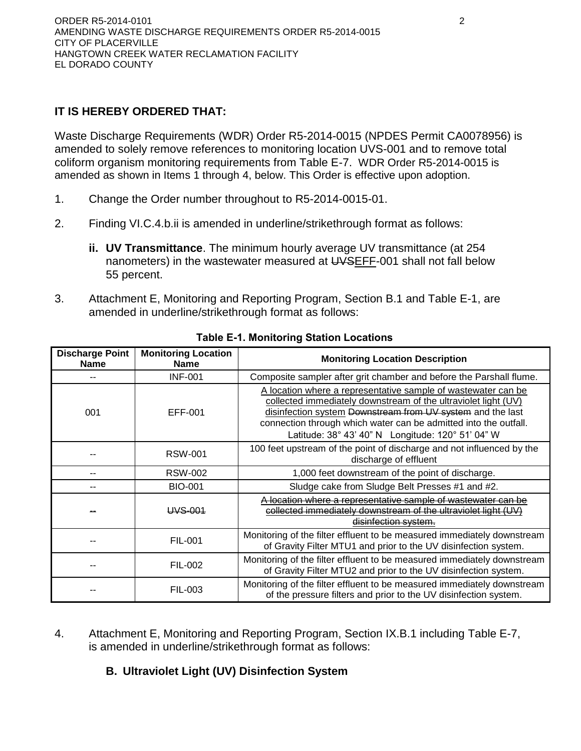# **IT IS HEREBY ORDERED THAT:**

Waste Discharge Requirements (WDR) Order R5-2014-0015 (NPDES Permit CA0078956) is amended to solely remove references to monitoring location UVS-001 and to remove total coliform organism monitoring requirements from Table E-7. WDR Order R5-2014-0015 is amended as shown in Items 1 through 4, below. This Order is effective upon adoption.

- 1. Change the Order number throughout to R5-2014-0015-01.
- 2. Finding VI.C.4.b.ii is amended in underline/strikethrough format as follows:
	- **ii. UV Transmittance**. The minimum hourly average UV transmittance (at 254 nanometers) in the wastewater measured at UVSEFF-001 shall not fall below 55 percent.
- 3. Attachment E, Monitoring and Reporting Program, Section B.1 and Table E-1, are amended in underline/strikethrough format as follows:

| <b>Discharge Point</b><br><b>Name</b> | <b>Monitoring Location</b><br><b>Name</b> | <b>Monitoring Location Description</b>                                                                                                                                                                                                                                                                                    |  |  |
|---------------------------------------|-------------------------------------------|---------------------------------------------------------------------------------------------------------------------------------------------------------------------------------------------------------------------------------------------------------------------------------------------------------------------------|--|--|
|                                       | <b>INF-001</b>                            | Composite sampler after grit chamber and before the Parshall flume.                                                                                                                                                                                                                                                       |  |  |
| 001                                   | EFF-001                                   | A location where a representative sample of wastewater can be<br>collected immediately downstream of the ultraviolet light (UV)<br>disinfection system Downstream from UV system and the last<br>connection through which water can be admitted into the outfall.<br>Latitude: 38° 43' 40" N    Longitude: 120° 51' 04" W |  |  |
|                                       | <b>RSW-001</b>                            | 100 feet upstream of the point of discharge and not influenced by the<br>discharge of effluent                                                                                                                                                                                                                            |  |  |
|                                       | <b>RSW-002</b>                            | 1,000 feet downstream of the point of discharge.                                                                                                                                                                                                                                                                          |  |  |
|                                       | <b>BIO-001</b>                            | Sludge cake from Sludge Belt Presses #1 and #2.                                                                                                                                                                                                                                                                           |  |  |
|                                       | <u>IIVS 001</u>                           | location where a representative sample of wastewater can be<br>collected immediately downstream of the ultraviolet light<br>disinfection system.                                                                                                                                                                          |  |  |
|                                       | <b>FIL-001</b>                            | Monitoring of the filter effluent to be measured immediately downstream<br>of Gravity Filter MTU1 and prior to the UV disinfection system.                                                                                                                                                                                |  |  |
|                                       | FIL-002                                   | Monitoring of the filter effluent to be measured immediately downstream<br>of Gravity Filter MTU2 and prior to the UV disinfection system.                                                                                                                                                                                |  |  |
|                                       | <b>FIL-003</b>                            | Monitoring of the filter effluent to be measured immediately downstream<br>of the pressure filters and prior to the UV disinfection system.                                                                                                                                                                               |  |  |

### **Table E-1. Monitoring Station Locations**

4. Attachment E, Monitoring and Reporting Program, Section IX.B.1 including Table E-7, is amended in underline/strikethrough format as follows:

### **B. Ultraviolet Light (UV) Disinfection System**